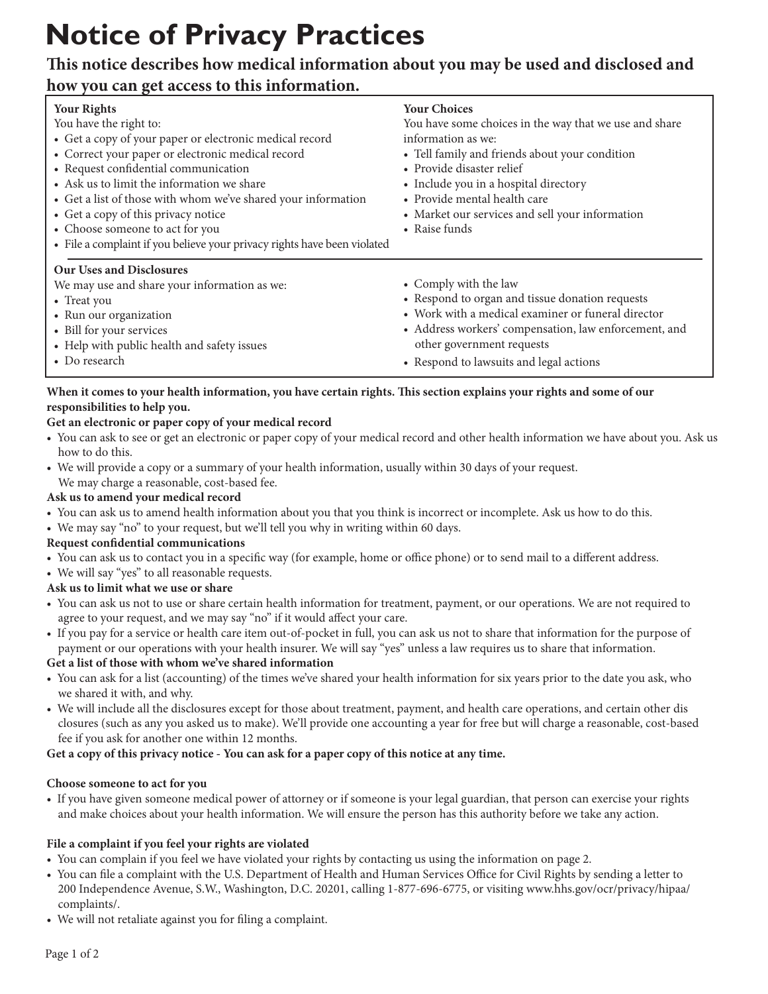# **Notice of Privacy Practices**

**This notice describes how medical information about you may be used and disclosed and** 

# **how you can get access to this information.**

#### **Your Rights** You have the right to: • Get a copy of your paper or electronic medical record • Correct your paper or electronic medical record • Request confidential communication • Ask us to limit the information we share • Get a list of those with whom we've shared your information • Get a copy of this privacy notice • Choose someone to act for you • File a complaint if you believe your privacy rights have been violated **Your Choices** You have some choices in the way that we use and share information as we: • Tell family and friends about your condition • Provide disaster relief • Include you in a hospital directory • Provide mental health care • Market our services and sell your information • Raise funds **Our Uses and Disclosures** We may use and share your information as we: • Treat you • Run our organization • Bill for your services • Help with public health and safety issues • Do research • Comply with the law • Respond to organ and tissue donation requests • Work with a medical examiner or funeral director • Address workers' compensation, law enforcement, and other government requests • Respond to lawsuits and legal actions

#### **When it comes to your health information, you have certain rights. This section explains your rights and some of our responsibilities to help you.**

# **Get an electronic or paper copy of your medical record**

- You can ask to see or get an electronic or paper copy of your medical record and other health information we have about you. Ask us how to do this.
- We will provide a copy or a summary of your health information, usually within 30 days of your request. We may charge a reasonable, cost-based fee.

# **Ask us to amend your medical record**

- You can ask us to amend health information about you that you think is incorrect or incomplete. Ask us how to do this.
- We may say "no" to your request, but we'll tell you why in writing within 60 days.

# **Request confidential communications**

- You can ask us to contact you in a specific way (for example, home or office phone) or to send mail to a different address.
- We will say "yes" to all reasonable requests.

# **Ask us to limit what we use or share**

- You can ask us not to use or share certain health information for treatment, payment, or our operations. We are not required to agree to your request, and we may say "no" if it would affect your care.
- If you pay for a service or health care item out-of-pocket in full, you can ask us not to share that information for the purpose of payment or our operations with your health insurer. We will say "yes" unless a law requires us to share that information.

# **Get a list of those with whom we've shared information**

- You can ask for a list (accounting) of the times we've shared your health information for six years prior to the date you ask, who we shared it with, and why.
- We will include all the disclosures except for those about treatment, payment, and health care operations, and certain other dis closures (such as any you asked us to make). We'll provide one accounting a year for free but will charge a reasonable, cost-based fee if you ask for another one within 12 months.

# **Get a copy of this privacy notice - You can ask for a paper copy of this notice at any time.**

# **Choose someone to act for you**

• If you have given someone medical power of attorney or if someone is your legal guardian, that person can exercise your rights and make choices about your health information. We will ensure the person has this authority before we take any action.

# **File a complaint if you feel your rights are violated**

- You can complain if you feel we have violated your rights by contacting us using the information on page 2.
- You can file a complaint with the U.S. Department of Health and Human Services Office for Civil Rights by sending a letter to 200 Independence Avenue, S.W., Washington, D.C. 20201, calling 1-877-696-6775, or visiting www.hhs.gov/ocr/privacy/hipaa/ complaints/.
- We will not retaliate against you for filing a complaint.